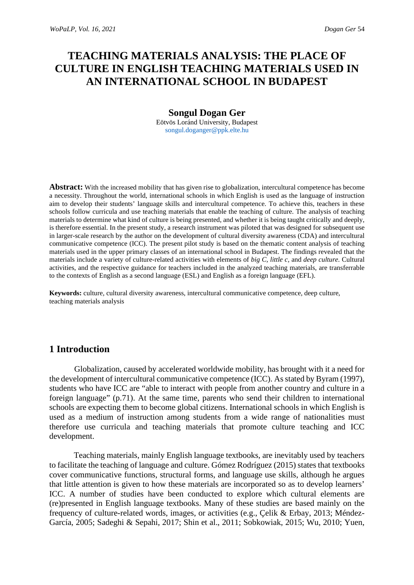# **TEACHING MATERIALS ANALYSIS: THE PLACE OF CULTURE IN ENGLISH TEACHING MATERIALS USED IN AN INTERNATIONAL SCHOOL IN BUDAPEST**

## **Songul Dogan Ger**

Eötvös Loránd University, Budapest songul.doganger@ppk.elte.hu

**Abstract:** With the increased mobility that has given rise to globalization, intercultural competence has become a necessity. Throughout the world, international schools in which English is used as the language of instruction aim to develop their students' language skills and intercultural competence. To achieve this, teachers in these schools follow curricula and use teaching materials that enable the teaching of culture. The analysis of teaching materials to determine what kind of culture is being presented, and whether it is being taught critically and deeply, is therefore essential. In the present study, a research instrument was piloted that was designed for subsequent use in larger-scale research by the author on the development of cultural diversity awareness (CDA) and intercultural communicative competence (ICC). The present pilot study is based on the thematic content analysis of teaching materials used in the upper primary classes of an international school in Budapest. The findings revealed that the materials include a variety of culture-related activities with elements of *big C, little c,* and *deep culture.* Cultural activities, and the respective guidance for teachers included in the analyzed teaching materials, are transferrable to the contexts of English as a second language (ESL) and English as a foreign language (EFL).

**Keywords:** culture, cultural diversity awareness, intercultural communicative competence, deep culture, teaching materials analysis

## **1 Introduction**

Globalization, caused by accelerated worldwide mobility, has brought with it a need for the development of intercultural communicative competence (ICC). As stated by Byram (1997), students who have ICC are "able to interact with people from another country and culture in a foreign language" (p.71). At the same time, parents who send their children to international schools are expecting them to become global citizens. International schools in which English is used as a medium of instruction among students from a wide range of nationalities must therefore use curricula and teaching materials that promote culture teaching and ICC development.

Teaching materials, mainly English language textbooks, are inevitably used by teachers to facilitate the teaching of language and culture. Gómez Rodríguez (2015) states that textbooks cover communicative functions, structural forms, and language use skills, although he argues that little attention is given to how these materials are incorporated so as to develop learners' ICC. A number of studies have been conducted to explore which cultural elements are (re)presented in English language textbooks. Many of these studies are based mainly on the frequency of culture-related words, images, or activities (e.g., Çelik & Erbay, 2013; Méndez-García, 2005; Sadeghi & Sepahi, 2017; Shin et al., 2011; Sobkowiak, 2015; Wu, 2010; Yuen,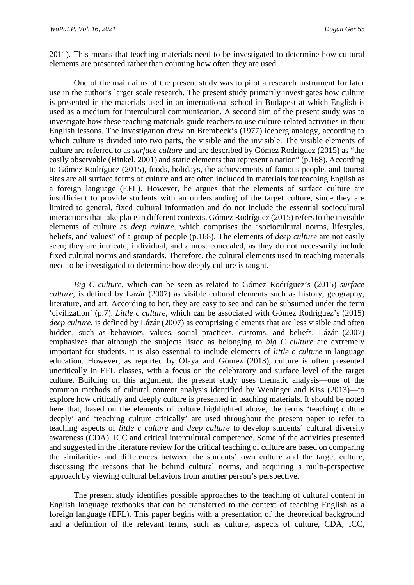2011). This means that teaching materials need to be investigated to determine how cultural elements are presented rather than counting how often they are used.

One of the main aims of the present study was to pilot a research instrument for later use in the author's larger scale research. The present study primarily investigates how culture is presented in the materials used in an international school in Budapest at which English is used as a medium for intercultural communication. A second aim of the present study was to investigate how these teaching materials guide teachers to use culture-related activities in their English lessons. The investigation drew on Brembeck's (1977) iceberg analogy, according to which culture is divided into two parts, the visible and the invisible. The visible elements of culture are referred to as *surface culture* and are described by Gómez Rodríguez (2015) as "the easily observable (Hinkel, 2001) and static elements that represent a nation" (p.168). According to Gómez Rodríguez (2015), foods, holidays, the achievements of famous people, and tourist sites are all surface forms of culture and are often included in materials for teaching English as a foreign language (EFL). However, he argues that the elements of surface culture are insufficient to provide students with an understanding of the target culture, since they are limited to general, fixed cultural information and do not include the essential sociocultural interactions that take place in different contexts. Gómez Rodríguez (2015) refers to the invisible elements of culture as *deep culture*, which comprises the "sociocultural norms, lifestyles, beliefs, and values" of a group of people (p.168). The elements of *deep culture* are not easily seen; they are intricate, individual, and almost concealed, as they do not necessarily include fixed cultural norms and standards. Therefore, the cultural elements used in teaching materials need to be investigated to determine how deeply culture is taught.

*Big C culture*, which can be seen as related to Gómez Rodríguez's (2015) *surface culture,* is defined by Lázár (2007) as visible cultural elements such as history, geography, literature, and art. According to her, they are easy to see and can be subsumed under the term 'civilization' (p.7). *Little c culture*, which can be associated with Gómez Rodríguez's (2015) *deep culture*, is defined by Lázár (2007) as comprising elements that are less visible and often hidden, such as behaviors, values, social practices, customs, and beliefs. Lázár (2007) emphasizes that although the subjects listed as belonging to *big C culture* are extremely important for students, it is also essential to include elements of *little c culture* in language education. However, as reported by Olaya and Gómez (2013), culture is often presented uncritically in EFL classes, with a focus on the celebratory and surface level of the target culture. Building on this argument, the present study uses thematic analysis—one of the common methods of cultural content analysis identified by Weninger and Kiss (2013)—to explore how critically and deeply culture is presented in teaching materials. It should be noted here that, based on the elements of culture highlighted above, the terms 'teaching culture deeply' and 'teaching culture critically' are used throughout the present paper to refer to teaching aspects of *little c culture* and *deep culture* to develop students' cultural diversity awareness (CDA), ICC and critical intercultural competence. Some of the activities presented and suggested in the literature review for the critical teaching of culture are based on comparing the similarities and differences between the students' own culture and the target culture, discussing the reasons that lie behind cultural norms, and acquiring a multi-perspective approach by viewing cultural behaviors from another person's perspective.

The present study identifies possible approaches to the teaching of cultural content in English language textbooks that can be transferred to the context of teaching English as a foreign language (EFL). This paper begins with a presentation of the theoretical background and a definition of the relevant terms, such as culture, aspects of culture, CDA, ICC,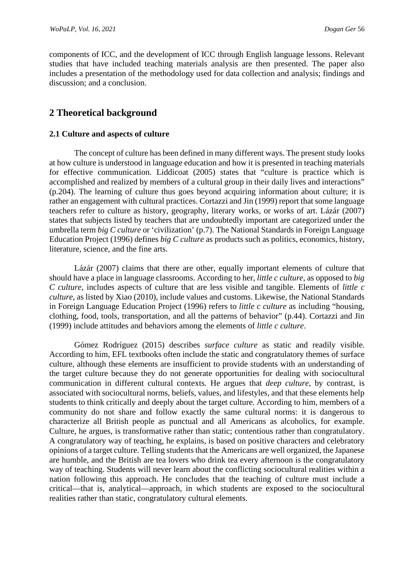components of ICC, and the development of ICC through English language lessons. Relevant studies that have included teaching materials analysis are then presented. The paper also includes a presentation of the methodology used for data collection and analysis; findings and discussion; and a conclusion.

# **2 Theoretical background**

## **2.1 Culture and aspects of culture**

The concept of culture has been defined in many different ways. The present study looks at how culture is understood in language education and how it is presented in teaching materials for effective communication. Liddicoat (2005) states that "culture is practice which is accomplished and realized by members of a cultural group in their daily lives and interactions" (p.204). The learning of culture thus goes beyond acquiring information about culture; it is rather an engagement with cultural practices. Cortazzi and Jin (1999) report that some language teachers refer to culture as history, geography, literary works, or works of art. Lázár (2007) states that subjects listed by teachers that are undoubtedly important are categorized under the umbrella term *big C culture* or 'civilization' (p.7). The National Standards in Foreign Language Education Project (1996) defines *big C culture* as products such as politics, economics, history, literature, science, and the fine arts.

Lázár (2007) claims that there are other, equally important elements of culture that should have a place in language classrooms. According to her, *little c culture*, as opposed to *big C culture*, includes aspects of culture that are less visible and tangible. Elements of *little c culture*, as listed by Xiao (2010), include values and customs. Likewise, the National Standards in Foreign Language Education Project (1996) refers to *little c culture* as including "housing, clothing, food, tools, transportation, and all the patterns of behavior" (p.44). Cortazzi and Jin (1999) include attitudes and behaviors among the elements of *little c culture*.

Gómez Rodríguez (2015) describes *surface culture* as static and readily visible. According to him, EFL textbooks often include the static and congratulatory themes of surface culture, although these elements are insufficient to provide students with an understanding of the target culture because they do not generate opportunities for dealing with sociocultural communication in different cultural contexts. He argues that *deep culture*, by contrast, is associated with sociocultural norms, beliefs, values, and lifestyles, and that these elements help students to think critically and deeply about the target culture. According to him, members of a community do not share and follow exactly the same cultural norms: it is dangerous to characterize all British people as punctual and all Americans as alcoholics, for example. Culture, he argues, is transformative rather than static; contentious rather than congratulatory. A congratulatory way of teaching, he explains, is based on positive characters and celebratory opinions of a target culture. Telling students that the Americans are well organized, the Japanese are humble, and the British are tea lovers who drink tea every afternoon is the congratulatory way of teaching. Students will never learn about the conflicting sociocultural realities within a nation following this approach. He concludes that the teaching of culture must include a critical—that is, analytical—approach, in which students are exposed to the sociocultural realities rather than static, congratulatory cultural elements.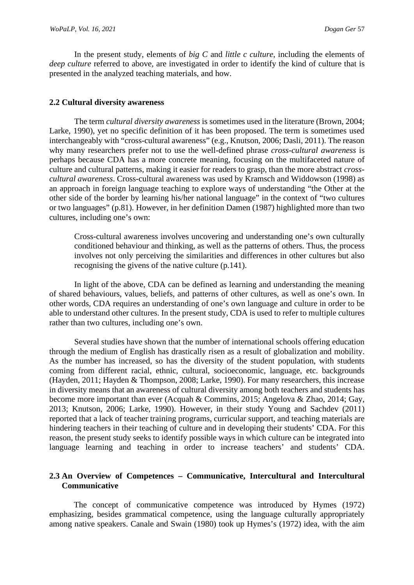In the present study, elements of *big C* and *little c culture*, including the elements of *deep culture* referred to above, are investigated in order to identify the kind of culture that is presented in the analyzed teaching materials, and how.

### **2.2 Cultural diversity awareness**

The term *cultural diversity awareness* is sometimes used in the literature (Brown, 2004; Larke, 1990), yet no specific definition of it has been proposed. The term is sometimes used interchangeably with "cross-cultural awareness" (e.g., Knutson, 2006; Dasli, 2011). The reason why many researchers prefer not to use the well-defined phrase *cross-cultural awareness* is perhaps because CDA has a more concrete meaning, focusing on the multifaceted nature of culture and cultural patterns, making it easier for readers to grasp, than the more abstract *crosscultural awareness*. Cross-cultural awareness was used by Kramsch and Widdowson (1998) as an approach in foreign language teaching to explore ways of understanding "the Other at the other side of the border by learning his/her national language" in the context of "two cultures or two languages" (p.81). However, in her definition Damen (1987) highlighted more than two cultures, including one's own:

Cross-cultural awareness involves uncovering and understanding one's own culturally conditioned behaviour and thinking, as well as the patterns of others. Thus, the process involves not only perceiving the similarities and differences in other cultures but also recognising the givens of the native culture (p.141).

In light of the above, CDA can be defined as learning and understanding the meaning of shared behaviours, values, beliefs, and patterns of other cultures, as well as one's own. In other words, CDA requires an understanding of one's own language and culture in order to be able to understand other cultures. In the present study, CDA is used to refer to multiple cultures rather than two cultures, including one's own.

Several studies have shown that the number of international schools offering education through the medium of English has drastically risen as a result of globalization and mobility. As the number has increased, so has the diversity of the student population, with students coming from different racial, ethnic, cultural, socioeconomic, language, etc. backgrounds (Hayden, 2011; Hayden & Thompson, 2008; Larke, 1990). For many researchers, this increase in diversity means that an awareness of cultural diversity among both teachers and students has become more important than ever (Acquah & Commins, 2015; Angelova & Zhao, 2014; Gay, 2013; Knutson, 2006; Larke, 1990). However, in their study Young and Sachdev (2011) reported that a lack of teacher training programs, curricular support, and teaching materials are hindering teachers in their teaching of culture and in developing their students' CDA. For this reason, the present study seeks to identify possible ways in which culture can be integrated into language learning and teaching in order to increase teachers' and students' CDA.

## **2.3 An Overview of Competences – Communicative, Intercultural and Intercultural Communicative**

The concept of communicative competence was introduced by Hymes (1972) emphasizing, besides grammatical competence, using the language culturally appropriately among native speakers. Canale and Swain (1980) took up Hymes's (1972) idea, with the aim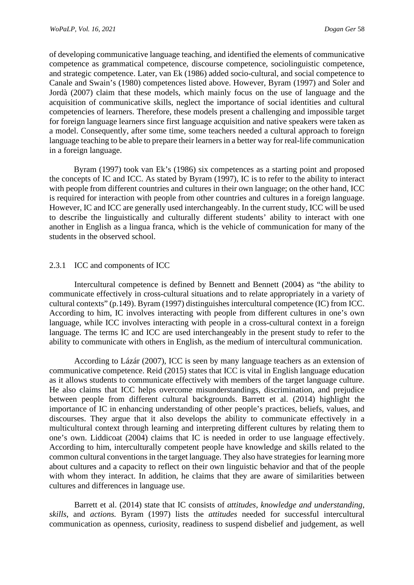of developing communicative language teaching, and identified the elements of communicative competence as grammatical competence, discourse competence, sociolinguistic competence, and strategic competence. Later, van Ek (1986) added socio-cultural, and social competence to Canale and Swain's (1980) competences listed above. However, Byram (1997) and Soler and Jordà (2007) claim that these models, which mainly focus on the use of language and the acquisition of communicative skills, neglect the importance of social identities and cultural competencies of learners. Therefore, these models present a challenging and impossible target for foreign language learners since first language acquisition and native speakers were taken as a model. Consequently, after some time, some teachers needed a cultural approach to foreign language teaching to be able to prepare their learners in a better way for real-life communication in a foreign language.

Byram (1997) took van Ek's (1986) six competences as a starting point and proposed the concepts of IC and ICC. As stated by Byram (1997), IC is to refer to the ability to interact with people from different countries and cultures in their own language; on the other hand, ICC is required for interaction with people from other countries and cultures in a foreign language. However, IC and ICC are generally used interchangeably. In the current study, ICC will be used to describe the linguistically and culturally different students' ability to interact with one another in English as a lingua franca, which is the vehicle of communication for many of the students in the observed school.

## 2.3.1 ICC and components of ICC

Intercultural competence is defined by Bennett and Bennett (2004) as "the ability to communicate effectively in cross-cultural situations and to relate appropriately in a variety of cultural contexts" (p.149). Byram (1997) distinguishes intercultural competence (IC) from ICC. According to him, IC involves interacting with people from different cultures in one's own language, while ICC involves interacting with people in a cross-cultural context in a foreign language. The terms IC and ICC are used interchangeably in the present study to refer to the ability to communicate with others in English, as the medium of intercultural communication.

According to Lázár (2007), ICC is seen by many language teachers as an extension of communicative competence. Reid (2015) states that ICC is vital in English language education as it allows students to communicate effectively with members of the target language culture. He also claims that ICC helps overcome misunderstandings, discrimination, and prejudice between people from different cultural backgrounds. Barrett et al. (2014) highlight the importance of IC in enhancing understanding of other people's practices, beliefs, values, and discourses. They argue that it also develops the ability to communicate effectively in a multicultural context through learning and interpreting different cultures by relating them to one's own. Liddicoat (2004) claims that IC is needed in order to use language effectively. According to him, interculturally competent people have knowledge and skills related to the common cultural conventions in the target language. They also have strategies for learning more about cultures and a capacity to reflect on their own linguistic behavior and that of the people with whom they interact. In addition, he claims that they are aware of similarities between cultures and differences in language use.

Barrett et al. (2014) state that IC consists of *attitudes, knowledge and understanding, skills*, and *actions.* Byram (1997) lists the *attitudes* needed for successful intercultural communication as openness, curiosity, readiness to suspend disbelief and judgement, as well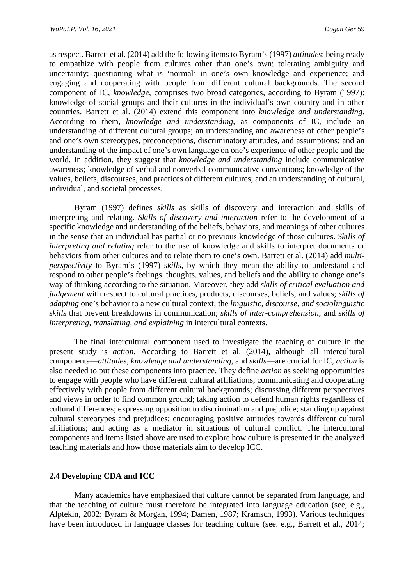as respect. Barrett et al. (2014) add the following items to Byram's (1997) *attitudes*: being ready to empathize with people from cultures other than one's own; tolerating ambiguity and uncertainty; questioning what is 'normal' in one's own knowledge and experience; and engaging and cooperating with people from different cultural backgrounds. The second component of IC, *knowledge*, comprises two broad categories, according to Byram (1997): knowledge of social groups and their cultures in the individual's own country and in other countries. Barrett et al. (2014) extend this component into *knowledge and understanding*. According to them, *knowledge and understanding*, as components of IC, include an understanding of different cultural groups; an understanding and awareness of other people's and one's own stereotypes, preconceptions, discriminatory attitudes, and assumptions; and an understanding of the impact of one's own language on one's experience of other people and the world. In addition, they suggest that *knowledge and understanding* include communicative awareness; knowledge of verbal and nonverbal communicative conventions; knowledge of the values, beliefs, discourses, and practices of different cultures; and an understanding of cultural, individual, and societal processes.

Byram (1997) defines *skills* as skills of discovery and interaction and skills of interpreting and relating. *Skills of discovery and interaction* refer to the development of a specific knowledge and understanding of the beliefs, behaviors, and meanings of other cultures in the sense that an individual has partial or no previous knowledge of those cultures. *Skills of interpreting and relating* refer to the use of knowledge and skills to interpret documents or behaviors from other cultures and to relate them to one's own. Barrett et al. (2014) add *multiperspectivity* to Byram's (1997) *skills*, by which they mean the ability to understand and respond to other people's feelings, thoughts, values, and beliefs and the ability to change one's way of thinking according to the situation. Moreover, they add *skills of critical evaluation and judgement* with respect to cultural practices, products, discourses, beliefs, and values; *skills of adapting* one's behavior to a new cultural context; the *linguistic, discourse, and sociolinguistic skills* that prevent breakdowns in communication; *skills of inter-comprehension*; and *skills of interpreting, translating, and explaining* in intercultural contexts.

The final intercultural component used to investigate the teaching of culture in the present study is *action*. According to Barrett et al. (2014), although all intercultural components—*attitudes, knowledge and understanding*, and *skills*—are crucial for IC, *action* is also needed to put these components into practice. They define *action* as seeking opportunities to engage with people who have different cultural affiliations; communicating and cooperating effectively with people from different cultural backgrounds; discussing different perspectives and views in order to find common ground; taking action to defend human rights regardless of cultural differences; expressing opposition to discrimination and prejudice; standing up against cultural stereotypes and prejudices; encouraging positive attitudes towards different cultural affiliations; and acting as a mediator in situations of cultural conflict. The intercultural components and items listed above are used to explore how culture is presented in the analyzed teaching materials and how those materials aim to develop ICC.

#### **2.4 Developing CDA and ICC**

Many academics have emphasized that culture cannot be separated from language, and that the teaching of culture must therefore be integrated into language education (see, e.g., Alptekin, 2002; Byram & Morgan, 1994; Damen, 1987; Kramsch, 1993). Various techniques have been introduced in language classes for teaching culture (see. e.g., Barrett et al., 2014;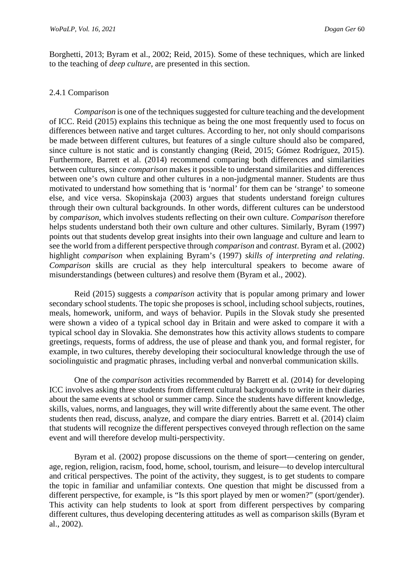Borghetti, 2013; Byram et al., 2002; Reid, 2015). Some of these techniques, which are linked to the teaching of *deep culture*, are presented in this section.

#### 2.4.1 Comparison

*Comparison* is one of the techniques suggested for culture teaching and the development of ICC. Reid (2015) explains this technique as being the one most frequently used to focus on differences between native and target cultures. According to her, not only should comparisons be made between different cultures, but features of a single culture should also be compared, since culture is not static and is constantly changing (Reid, 2015; Gómez Rodríguez, 2015). Furthermore, Barrett et al. (2014) recommend comparing both differences and similarities between cultures, since *comparison* makes it possible to understand similarities and differences between one's own culture and other cultures in a non-judgmental manner. Students are thus motivated to understand how something that is 'normal' for them can be 'strange' to someone else, and vice versa. Skopinskaja (2003) argues that students understand foreign cultures through their own cultural backgrounds. In other words, different cultures can be understood by *comparison*, which involves students reflecting on their own culture. *Comparison* therefore helps students understand both their own culture and other cultures. Similarly, Byram (1997) points out that students develop great insights into their own language and culture and learn to see the world from a different perspective through *comparison* and *contrast*. Byram et al. (2002) highlight *comparison* when explaining Byram's (1997) *skills of interpreting and relating*. *Comparison* skills are crucial as they help intercultural speakers to become aware of misunderstandings (between cultures) and resolve them (Byram et al., 2002).

Reid (2015) suggests a *comparison* activity that is popular among primary and lower secondary school students. The topic she proposes is school, including school subjects, routines, meals, homework, uniform, and ways of behavior. Pupils in the Slovak study she presented were shown a video of a typical school day in Britain and were asked to compare it with a typical school day in Slovakia. She demonstrates how this activity allows students to compare greetings, requests, forms of address, the use of please and thank you, and formal register, for example, in two cultures, thereby developing their sociocultural knowledge through the use of sociolinguistic and pragmatic phrases, including verbal and nonverbal communication skills.

One of the *comparison* activities recommended by Barrett et al. (2014) for developing ICC involves asking three students from different cultural backgrounds to write in their diaries about the same events at school or summer camp. Since the students have different knowledge, skills, values, norms, and languages, they will write differently about the same event. The other students then read, discuss, analyze, and compare the diary entries. Barrett et al. (2014) claim that students will recognize the different perspectives conveyed through reflection on the same event and will therefore develop multi-perspectivity.

Byram et al. (2002) propose discussions on the theme of sport—centering on gender, age, region, religion, racism, food, home, school, tourism, and leisure—to develop intercultural and critical perspectives. The point of the activity, they suggest, is to get students to compare the topic in familiar and unfamiliar contexts. One question that might be discussed from a different perspective, for example, is "Is this sport played by men or women?" (sport/gender). This activity can help students to look at sport from different perspectives by comparing different cultures, thus developing decentering attitudes as well as comparison skills (Byram et al., 2002).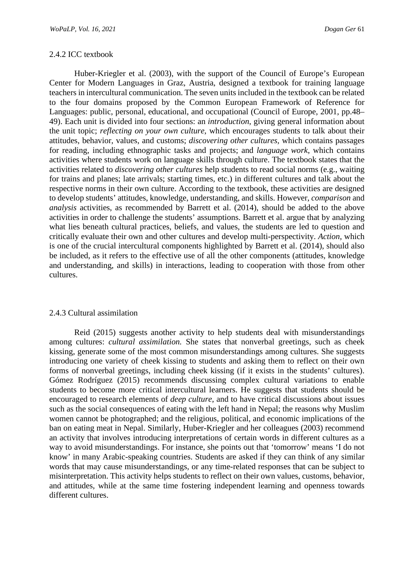#### 2.4.2 ICC textbook

Huber-Kriegler et al. (2003), with the support of the Council of Europe's European Center for Modern Languages in Graz, Austria, designed a textbook for training language teachers in intercultural communication. The seven units included in the textbook can be related to the four domains proposed by the Common European Framework of Reference for Languages: public, personal, educational, and occupational (Council of Europe, 2001, pp.48– 49). Each unit is divided into four sections: an *introduction*, giving general information about the unit topic; *reflecting on your own culture*, which encourages students to talk about their attitudes, behavior, values, and customs; *discovering other cultures,* which contains passages for reading, including ethnographic tasks and projects; and *language work*, which contains activities where students work on language skills through culture. The textbook states that the activities related to *discovering other cultures* help students to read social norms (e.g., waiting for trains and planes; late arrivals; starting times, etc.) in different cultures and talk about the respective norms in their own culture. According to the textbook, these activities are designed to develop students' attitudes, knowledge, understanding, and skills. However, *comparison* and *analysis* activities, as recommended by Barrett et al. (2014), should be added to the above activities in order to challenge the students' assumptions. Barrett et al. argue that by analyzing what lies beneath cultural practices, beliefs, and values, the students are led to question and critically evaluate their own and other cultures and develop multi-perspectivity. *Action*, which is one of the crucial intercultural components highlighted by Barrett et al. (2014), should also be included, as it refers to the effective use of all the other components (attitudes, knowledge and understanding, and skills) in interactions, leading to cooperation with those from other cultures.

#### 2.4.3 Cultural assimilation

Reid (2015) suggests another activity to help students deal with misunderstandings among cultures: *cultural assimilation.* She states that nonverbal greetings, such as cheek kissing, generate some of the most common misunderstandings among cultures. She suggests introducing one variety of cheek kissing to students and asking them to reflect on their own forms of nonverbal greetings, including cheek kissing (if it exists in the students' cultures). Gómez Rodríguez (2015) recommends discussing complex cultural variations to enable students to become more critical intercultural learners. He suggests that students should be encouraged to research elements of *deep culture*, and to have critical discussions about issues such as the social consequences of eating with the left hand in Nepal; the reasons why Muslim women cannot be photographed; and the religious, political, and economic implications of the ban on eating meat in Nepal. Similarly, Huber-Kriegler and her colleagues (2003) recommend an activity that involves introducing interpretations of certain words in different cultures as a way to avoid misunderstandings. For instance, she points out that 'tomorrow' means 'I do not know' in many Arabic-speaking countries. Students are asked if they can think of any similar words that may cause misunderstandings, or any time-related responses that can be subject to misinterpretation. This activity helps students to reflect on their own values, customs, behavior, and attitudes, while at the same time fostering independent learning and openness towards different cultures.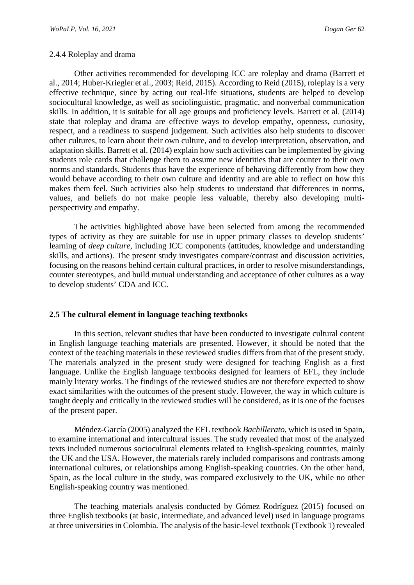### 2.4.4 Roleplay and drama

Other activities recommended for developing ICC are roleplay and drama (Barrett et al., 2014; Huber-Kriegler et al., 2003; Reid, 2015). According to Reid (2015), roleplay is a very effective technique, since by acting out real-life situations, students are helped to develop sociocultural knowledge, as well as sociolinguistic, pragmatic, and nonverbal communication skills. In addition, it is suitable for all age groups and proficiency levels. Barrett et al. (2014) state that roleplay and drama are effective ways to develop empathy, openness, curiosity, respect, and a readiness to suspend judgement. Such activities also help students to discover other cultures, to learn about their own culture, and to develop interpretation, observation, and adaptation skills. Barrett et al. (2014) explain how such activities can be implemented by giving students role cards that challenge them to assume new identities that are counter to their own norms and standards. Students thus have the experience of behaving differently from how they would behave according to their own culture and identity and are able to reflect on how this makes them feel. Such activities also help students to understand that differences in norms, values, and beliefs do not make people less valuable, thereby also developing multiperspectivity and empathy.

The activities highlighted above have been selected from among the recommended types of activity as they are suitable for use in upper primary classes to develop students' learning of *deep culture*, including ICC components (attitudes, knowledge and understanding skills, and actions). The present study investigates compare/contrast and discussion activities, focusing on the reasons behind certain cultural practices, in order to resolve misunderstandings, counter stereotypes, and build mutual understanding and acceptance of other cultures as a way to develop students' CDA and ICC.

#### **2.5 The cultural element in language teaching textbooks**

In this section, relevant studies that have been conducted to investigate cultural content in English language teaching materials are presented. However, it should be noted that the context of the teaching materials in these reviewed studies differs from that of the present study. The materials analyzed in the present study were designed for teaching English as a first language. Unlike the English language textbooks designed for learners of EFL, they include mainly literary works. The findings of the reviewed studies are not therefore expected to show exact similarities with the outcomes of the present study. However, the way in which culture is taught deeply and critically in the reviewed studies will be considered, as it is one of the focuses of the present paper.

Méndez-García (2005) analyzed the EFL textbook *Bachillerato*, which is used in Spain, to examine international and intercultural issues. The study revealed that most of the analyzed texts included numerous sociocultural elements related to English-speaking countries, mainly the UK and the USA. However, the materials rarely included comparisons and contrasts among international cultures, or relationships among English-speaking countries. On the other hand, Spain, as the local culture in the study, was compared exclusively to the UK, while no other English-speaking country was mentioned.

The teaching materials analysis conducted by Gómez Rodríguez (2015) focused on three English textbooks (at basic, intermediate, and advanced level) used in language programs at three universities in Colombia. The analysis of the basic-level textbook (Textbook 1) revealed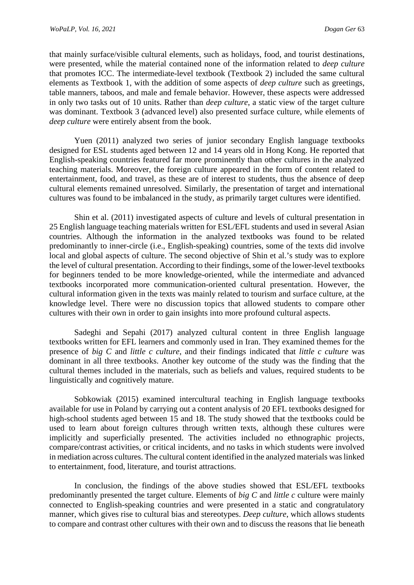that mainly surface/visible cultural elements, such as holidays, food, and tourist destinations, were presented, while the material contained none of the information related to *deep culture* that promotes ICC. The intermediate-level textbook (Textbook 2) included the same cultural elements as Textbook 1, with the addition of some aspects of *deep culture* such as greetings, table manners, taboos, and male and female behavior. However, these aspects were addressed in only two tasks out of 10 units. Rather than *deep culture*, a static view of the target culture was dominant. Textbook 3 (advanced level) also presented surface culture, while elements of *deep culture* were entirely absent from the book.

Yuen (2011) analyzed two series of junior secondary English language textbooks designed for ESL students aged between 12 and 14 years old in Hong Kong. He reported that English-speaking countries featured far more prominently than other cultures in the analyzed teaching materials. Moreover, the foreign culture appeared in the form of content related to entertainment, food, and travel, as these are of interest to students, thus the absence of deep cultural elements remained unresolved. Similarly, the presentation of target and international cultures was found to be imbalanced in the study, as primarily target cultures were identified.

Shin et al. (2011) investigated aspects of culture and levels of cultural presentation in 25 English language teaching materials written for ESL/EFL students and used in several Asian countries. Although the information in the analyzed textbooks was found to be related predominantly to inner-circle (i.e., English-speaking) countries, some of the texts did involve local and global aspects of culture. The second objective of Shin et al.'s study was to explore the level of cultural presentation. According to their findings, some of the lower-level textbooks for beginners tended to be more knowledge-oriented, while the intermediate and advanced textbooks incorporated more communication-oriented cultural presentation. However, the cultural information given in the texts was mainly related to tourism and surface culture, at the knowledge level. There were no discussion topics that allowed students to compare other cultures with their own in order to gain insights into more profound cultural aspects.

Sadeghi and Sepahi (2017) analyzed cultural content in three English language textbooks written for EFL learners and commonly used in Iran. They examined themes for the presence of *big C* and *little c culture*, and their findings indicated that *little c culture* was dominant in all three textbooks. Another key outcome of the study was the finding that the cultural themes included in the materials, such as beliefs and values, required students to be linguistically and cognitively mature.

Sobkowiak (2015) examined intercultural teaching in English language textbooks available for use in Poland by carrying out a content analysis of 20 EFL textbooks designed for high-school students aged between 15 and 18. The study showed that the textbooks could be used to learn about foreign cultures through written texts, although these cultures were implicitly and superficially presented. The activities included no ethnographic projects, compare/contrast activities, or critical incidents, and no tasks in which students were involved in mediation across cultures. The cultural content identified in the analyzed materials was linked to entertainment, food, literature, and tourist attractions.

In conclusion, the findings of the above studies showed that ESL/EFL textbooks predominantly presented the target culture. Elements of *big C* and *little c* culture were mainly connected to English-speaking countries and were presented in a static and congratulatory manner, which gives rise to cultural bias and stereotypes. *Deep culture*, which allows students to compare and contrast other cultures with their own and to discuss the reasons that lie beneath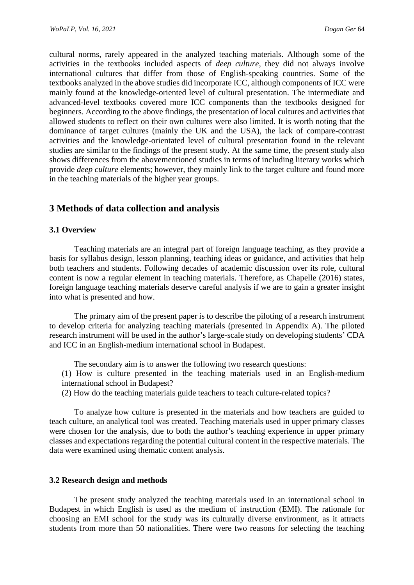cultural norms, rarely appeared in the analyzed teaching materials. Although some of the activities in the textbooks included aspects of *deep culture*, they did not always involve international cultures that differ from those of English-speaking countries. Some of the textbooks analyzed in the above studies did incorporate ICC, although components of ICC were mainly found at the knowledge-oriented level of cultural presentation. The intermediate and advanced-level textbooks covered more ICC components than the textbooks designed for beginners. According to the above findings, the presentation of local cultures and activities that allowed students to reflect on their own cultures were also limited. It is worth noting that the dominance of target cultures (mainly the UK and the USA), the lack of compare-contrast activities and the knowledge-orientated level of cultural presentation found in the relevant studies are similar to the findings of the present study. At the same time, the present study also shows differences from the abovementioned studies in terms of including literary works which provide *deep culture* elements; however, they mainly link to the target culture and found more in the teaching materials of the higher year groups.

# **3 Methods of data collection and analysis**

### **3.1 Overview**

Teaching materials are an integral part of foreign language teaching, as they provide a basis for syllabus design, lesson planning, teaching ideas or guidance, and activities that help both teachers and students. Following decades of academic discussion over its role, cultural content is now a regular element in teaching materials. Therefore, as Chapelle (2016) states, foreign language teaching materials deserve careful analysis if we are to gain a greater insight into what is presented and how.

The primary aim of the present paper is to describe the piloting of a research instrument to develop criteria for analyzing teaching materials (presented in Appendix A). The piloted research instrument will be used in the author's large-scale study on developing students' CDA and ICC in an English-medium international school in Budapest.

- The secondary aim is to answer the following two research questions:
- (1) How is culture presented in the teaching materials used in an English-medium international school in Budapest?
- (2) How do the teaching materials guide teachers to teach culture-related topics?

To analyze how culture is presented in the materials and how teachers are guided to teach culture, an analytical tool was created. Teaching materials used in upper primary classes were chosen for the analysis, due to both the author's teaching experience in upper primary classes and expectations regarding the potential cultural content in the respective materials. The data were examined using thematic content analysis.

#### **3.2 Research design and methods**

The present study analyzed the teaching materials used in an international school in Budapest in which English is used as the medium of instruction (EMI). The rationale for choosing an EMI school for the study was its culturally diverse environment, as it attracts students from more than 50 nationalities. There were two reasons for selecting the teaching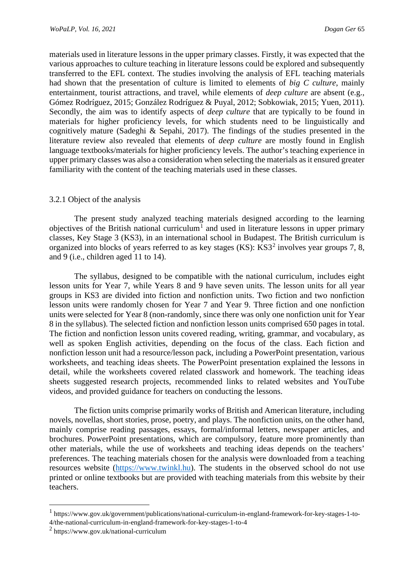materials used in literature lessons in the upper primary classes. Firstly, it was expected that the various approaches to culture teaching in literature lessons could be explored and subsequently transferred to the EFL context. The studies involving the analysis of EFL teaching materials had shown that the presentation of culture is limited to elements of *big C culture*, mainly entertainment, tourist attractions, and travel, while elements of *deep culture* are absent (e.g., Gómez Rodríguez, 2015; González Rodríguez & Puyal, 2012; Sobkowiak, 2015; Yuen, 2011). Secondly, the aim was to identify aspects of *deep culture* that are typically to be found in materials for higher proficiency levels, for which students need to be linguistically and cognitively mature (Sadeghi & Sepahi, 2017). The findings of the studies presented in the literature review also revealed that elements of *deep culture* are mostly found in English language textbooks/materials for higher proficiency levels. The author's teaching experience in upper primary classes was also a consideration when selecting the materials as it ensured greater familiarity with the content of the teaching materials used in these classes.

#### 3.2.1 Object of the analysis

The present study analyzed teaching materials designed according to the learning objectives of the British national curriculum<sup>[1](#page-11-0)</sup> and used in literature lessons in upper primary classes, Key Stage 3 (KS3), in an international school in Budapest. The British curriculum is organized into blocks of years referred to as key stages  $(KS)$ :  $KS3<sup>2</sup>$  $KS3<sup>2</sup>$  $KS3<sup>2</sup>$  involves year groups 7, 8, and 9 (i.e., children aged 11 to 14).

The syllabus, designed to be compatible with the national curriculum, includes eight lesson units for Year 7, while Years 8 and 9 have seven units. The lesson units for all year groups in KS3 are divided into fiction and nonfiction units. Two fiction and two nonfiction lesson units were randomly chosen for Year 7 and Year 9. Three fiction and one nonfiction units were selected for Year 8 (non-randomly, since there was only one nonfiction unit for Year 8 in the syllabus). The selected fiction and nonfiction lesson units comprised 650 pages in total. The fiction and nonfiction lesson units covered reading, writing, grammar, and vocabulary, as well as spoken English activities, depending on the focus of the class. Each fiction and nonfiction lesson unit had a resource/lesson pack, including a PowerPoint presentation, various worksheets, and teaching ideas sheets. The PowerPoint presentation explained the lessons in detail, while the worksheets covered related classwork and homework. The teaching ideas sheets suggested research projects, recommended links to related websites and YouTube videos, and provided guidance for teachers on conducting the lessons.

The fiction units comprise primarily works of British and American literature, including novels, novellas, short stories, prose, poetry, and plays. The nonfiction units, on the other hand, mainly comprise reading passages, essays, formal/informal letters, newspaper articles, and brochures. PowerPoint presentations, which are compulsory, feature more prominently than other materials, while the use of worksheets and teaching ideas depends on the teachers' preferences. The teaching materials chosen for the analysis were downloaded from a teaching resources website [\(https://www.twinkl.hu\)](https://www.twinkl.hu/). The students in the observed school do not use printed or online textbooks but are provided with teaching materials from this website by their teachers.

<span id="page-11-0"></span><sup>1</sup> https://www.gov.uk/government/publications/national-curriculum-in-england-framework-for-key-stages-1-to-

<sup>4/</sup>the-national-curriculum-in-england-framework-for-key-stages-1-to-4

<span id="page-11-1"></span><sup>2</sup> https://www.gov.uk/national-curriculum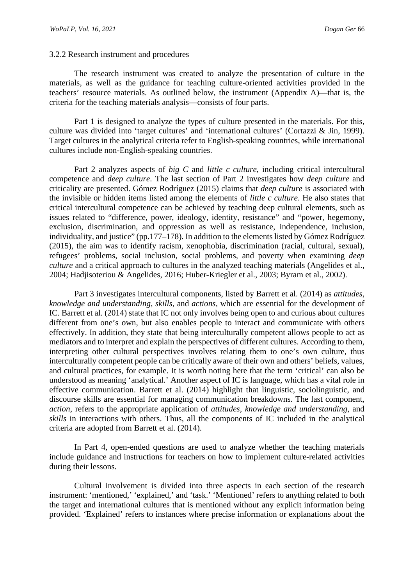#### 3.2.2 Research instrument and procedures

The research instrument was created to analyze the presentation of culture in the materials, as well as the guidance for teaching culture-oriented activities provided in the teachers' resource materials. As outlined below, the instrument (Appendix A)—that is, the criteria for the teaching materials analysis—consists of four parts.

Part 1 is designed to analyze the types of culture presented in the materials. For this, culture was divided into 'target cultures' and 'international cultures' (Cortazzi & Jin, 1999). Target cultures in the analytical criteria refer to English-speaking countries, while international cultures include non-English-speaking countries.

Part 2 analyzes aspects of *big C* and *little c culture*, including critical intercultural competence and *deep culture*. The last section of Part 2 investigates how *deep culture* and criticality are presented. Gómez Rodríguez (2015) claims that *deep culture* is associated with the invisible or hidden items listed among the elements of *little c culture*. He also states that critical intercultural competence can be achieved by teaching deep cultural elements, such as issues related to "difference, power, ideology, identity, resistance" and "power, hegemony, exclusion, discrimination, and oppression as well as resistance, independence, inclusion, individuality, and justice" (pp.177–178). In addition to the elements listed by Gómez Rodríguez (2015), the aim was to identify racism, xenophobia, discrimination (racial, cultural, sexual), refugees' problems, social inclusion, social problems, and poverty when examining *deep culture* and a critical approach to cultures in the analyzed teaching materials (Angelides et al., 2004; Hadjisoteriou & Angelides, 2016; Huber-Kriegler et al., 2003; Byram et al., 2002).

Part 3 investigates intercultural components, listed by Barrett et al. (2014) as *attitudes*, *knowledge and understanding*, *skills*, and *actions,* which are essential for the development of IC. Barrett et al. (2014) state that IC not only involves being open to and curious about cultures different from one's own, but also enables people to interact and communicate with others effectively. In addition, they state that being interculturally competent allows people to act as mediators and to interpret and explain the perspectives of different cultures. According to them, interpreting other cultural perspectives involves relating them to one's own culture, thus interculturally competent people can be critically aware of their own and others' beliefs, values, and cultural practices, for example. It is worth noting here that the term 'critical' can also be understood as meaning 'analytical.' Another aspect of IC is language, which has a vital role in effective communication. Barrett et al. (2014) highlight that linguistic, sociolinguistic, and discourse skills are essential for managing communication breakdowns. The last component, *action*, refers to the appropriate application of *attitudes, knowledge and understanding*, and *skills* in interactions with others. Thus, all the components of IC included in the analytical criteria are adopted from Barrett et al. (2014).

In Part 4, open-ended questions are used to analyze whether the teaching materials include guidance and instructions for teachers on how to implement culture-related activities during their lessons.

Cultural involvement is divided into three aspects in each section of the research instrument: 'mentioned,' 'explained,' and 'task.' 'Mentioned' refers to anything related to both the target and international cultures that is mentioned without any explicit information being provided. 'Explained' refers to instances where precise information or explanations about the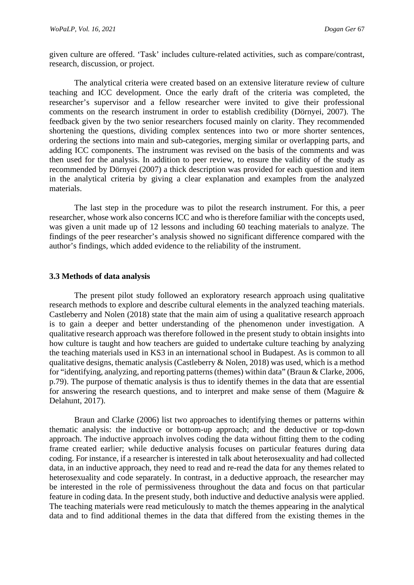given culture are offered. 'Task' includes culture-related activities, such as compare/contrast, research, discussion, or project.

The analytical criteria were created based on an extensive literature review of culture teaching and ICC development. Once the early draft of the criteria was completed, the researcher's supervisor and a fellow researcher were invited to give their professional comments on the research instrument in order to establish credibility (Dörnyei, 2007). The feedback given by the two senior researchers focused mainly on clarity. They recommended shortening the questions, dividing complex sentences into two or more shorter sentences, ordering the sections into main and sub-categories, merging similar or overlapping parts, and adding ICC components. The instrument was revised on the basis of the comments and was then used for the analysis. In addition to peer review, to ensure the validity of the study as recommended by Dörnyei (2007) a thick description was provided for each question and item in the analytical criteria by giving a clear explanation and examples from the analyzed materials.

The last step in the procedure was to pilot the research instrument. For this, a peer researcher, whose work also concerns ICC and who is therefore familiar with the concepts used, was given a unit made up of 12 lessons and including 60 teaching materials to analyze. The findings of the peer researcher's analysis showed no significant difference compared with the author's findings, which added evidence to the reliability of the instrument.

#### **3.3 Methods of data analysis**

The present pilot study followed an exploratory research approach using qualitative research methods to explore and describe cultural elements in the analyzed teaching materials. Castleberry and Nolen (2018) state that the main aim of using a qualitative research approach is to gain a deeper and better understanding of the phenomenon under investigation. A qualitative research approach was therefore followed in the present study to obtain insights into how culture is taught and how teachers are guided to undertake culture teaching by analyzing the teaching materials used in KS3 in an international school in Budapest. As is common to all qualitative designs, thematic analysis (Castleberry  $\&$  Nolen, 2018) was used, which is a method for "identifying, analyzing, and reporting patterns (themes) within data" (Braun & Clarke, 2006, p.79). The purpose of thematic analysis is thus to identify themes in the data that are essential for answering the research questions, and to interpret and make sense of them (Maguire & Delahunt, 2017).

Braun and Clarke (2006) list two approaches to identifying themes or patterns within thematic analysis: the inductive or bottom-up approach; and the deductive or top-down approach. The inductive approach involves coding the data without fitting them to the coding frame created earlier; while deductive analysis focuses on particular features during data coding. For instance, if a researcher is interested in talk about heterosexuality and had collected data, in an inductive approach, they need to read and re-read the data for any themes related to heterosexuality and code separately. In contrast, in a deductive approach, the researcher may be interested in the role of permissiveness throughout the data and focus on that particular feature in coding data. In the present study, both inductive and deductive analysis were applied. The teaching materials were read meticulously to match the themes appearing in the analytical data and to find additional themes in the data that differed from the existing themes in the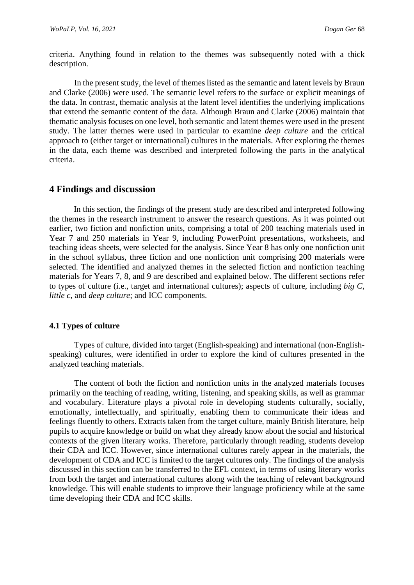criteria. Anything found in relation to the themes was subsequently noted with a thick description.

In the present study, the level of themes listed as the semantic and latent levels by Braun and Clarke (2006) were used. The semantic level refers to the surface or explicit meanings of the data. In contrast, thematic analysis at the latent level identifies the underlying implications that extend the semantic content of the data. Although Braun and Clarke (2006) maintain that thematic analysis focuses on one level, both semantic and latent themes were used in the present study. The latter themes were used in particular to examine *deep culture* and the critical approach to (either target or international) cultures in the materials. After exploring the themes in the data, each theme was described and interpreted following the parts in the analytical criteria.

### **4 Findings and discussion**

In this section, the findings of the present study are described and interpreted following the themes in the research instrument to answer the research questions. As it was pointed out earlier, two fiction and nonfiction units, comprising a total of 200 teaching materials used in Year 7 and 250 materials in Year 9, including PowerPoint presentations, worksheets, and teaching ideas sheets, were selected for the analysis. Since Year 8 has only one nonfiction unit in the school syllabus, three fiction and one nonfiction unit comprising 200 materials were selected. The identified and analyzed themes in the selected fiction and nonfiction teaching materials for Years 7, 8, and 9 are described and explained below. The different sections refer to types of culture (i.e., target and international cultures); aspects of culture, including *big C*, *little c,* and *deep culture*; and ICC components.

### **4.1 Types of culture**

Types of culture, divided into target (English-speaking) and international (non-Englishspeaking) cultures, were identified in order to explore the kind of cultures presented in the analyzed teaching materials.

The content of both the fiction and nonfiction units in the analyzed materials focuses primarily on the teaching of reading, writing, listening, and speaking skills, as well as grammar and vocabulary. Literature plays a pivotal role in developing students culturally, socially, emotionally, intellectually, and spiritually, enabling them to communicate their ideas and feelings fluently to others. Extracts taken from the target culture, mainly British literature, help pupils to acquire knowledge or build on what they already know about the social and historical contexts of the given literary works. Therefore, particularly through reading, students develop their CDA and ICC. However, since international cultures rarely appear in the materials, the development of CDA and ICC is limited to the target cultures only. The findings of the analysis discussed in this section can be transferred to the EFL context, in terms of using literary works from both the target and international cultures along with the teaching of relevant background knowledge. This will enable students to improve their language proficiency while at the same time developing their CDA and ICC skills.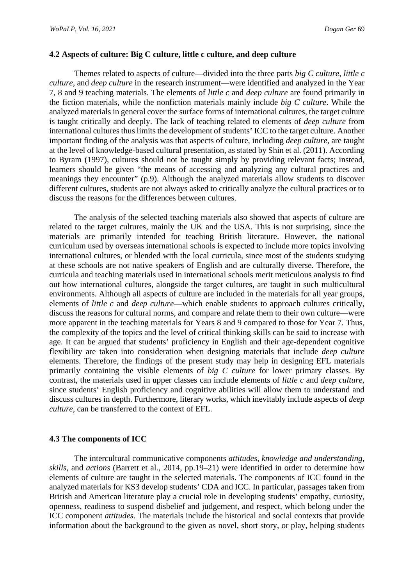#### **4.2 Aspects of culture: Big C culture, little c culture, and deep culture**

Themes related to aspects of culture—divided into the three parts *big C culture*, *little c culture*, and *deep culture* in the research instrument—were identified and analyzed in the Year 7, 8 and 9 teaching materials. The elements of *little c* and *deep culture* are found primarily in the fiction materials, while the nonfiction materials mainly include *big C culture*. While the analyzed materials in general cover the surface forms of international cultures, the target culture is taught critically and deeply. The lack of teaching related to elements of *deep culture* from international cultures thus limits the development of students' ICC to the target culture. Another important finding of the analysis was that aspects of culture, including *deep culture*, are taught at the level of knowledge-based cultural presentation, as stated by Shin et al. (2011). According to Byram (1997), cultures should not be taught simply by providing relevant facts; instead, learners should be given "the means of accessing and analyzing any cultural practices and meanings they encounter" (p.9). Although the analyzed materials allow students to discover different cultures, students are not always asked to critically analyze the cultural practices or to discuss the reasons for the differences between cultures.

The analysis of the selected teaching materials also showed that aspects of culture are related to the target cultures, mainly the UK and the USA. This is not surprising, since the materials are primarily intended for teaching British literature. However, the national curriculum used by overseas international schools is expected to include more topics involving international cultures, or blended with the local curricula, since most of the students studying at these schools are not native speakers of English and are culturally diverse. Therefore, the curricula and teaching materials used in international schools merit meticulous analysis to find out how international cultures, alongside the target cultures, are taught in such multicultural environments. Although all aspects of culture are included in the materials for all year groups, elements of *little c* and *deep culture*—which enable students to approach cultures critically, discuss the reasons for cultural norms, and compare and relate them to their own culture—were more apparent in the teaching materials for Years 8 and 9 compared to those for Year 7. Thus, the complexity of the topics and the level of critical thinking skills can be said to increase with age. It can be argued that students' proficiency in English and their age-dependent cognitive flexibility are taken into consideration when designing materials that include *deep culture* elements. Therefore, the findings of the present study may help in designing EFL materials primarily containing the visible elements of *big C culture* for lower primary classes. By contrast, the materials used in upper classes can include elements of *little c* and *deep culture*, since students' English proficiency and cognitive abilities will allow them to understand and discuss cultures in depth. Furthermore, literary works, which inevitably include aspects of *deep culture*, can be transferred to the context of EFL.

#### **4.3 The components of ICC**

The intercultural communicative components *attitudes*, *knowledge and understanding*, *skills*, and *actions* (Barrett et al., 2014, pp.19–21) were identified in order to determine how elements of culture are taught in the selected materials. The components of ICC found in the analyzed materials for KS3 develop students' CDA and ICC. In particular, passages taken from British and American literature play a crucial role in developing students' empathy, curiosity, openness, readiness to suspend disbelief and judgement, and respect, which belong under the ICC component *attitudes*. The materials include the historical and social contexts that provide information about the background to the given as novel, short story, or play, helping students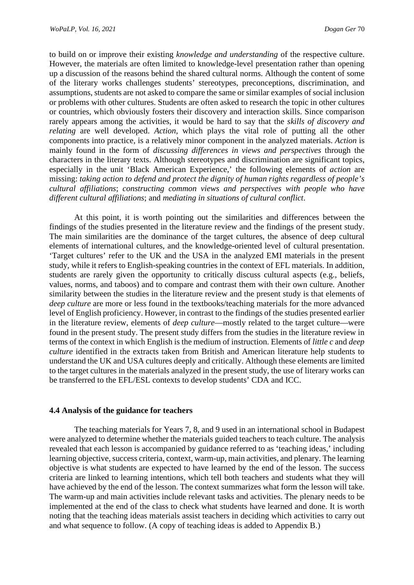to build on or improve their existing *knowledge and understanding* of the respective culture. However, the materials are often limited to knowledge-level presentation rather than opening up a discussion of the reasons behind the shared cultural norms. Although the content of some of the literary works challenges students' stereotypes, preconceptions, discrimination, and assumptions, students are not asked to compare the same or similar examples of social inclusion or problems with other cultures. Students are often asked to research the topic in other cultures or countries, which obviously fosters their discovery and interaction skills. Since comparison rarely appears among the activities, it would be hard to say that the *skills of discovery and relating* are well developed. *Action*, which plays the vital role of putting all the other components into practice, is a relatively minor component in the analyzed materials. *Action* is mainly found in the form of *discussing differences in views and perspectives* through the characters in the literary texts. Although stereotypes and discrimination are significant topics, especially in the unit 'Black American Experience,' the following elements of *action* are missing: *taking action to defend and protect the dignity of human rights regardless of people's cultural affiliations*; *constructing common views and perspectives with people who have different cultural affiliations*; and *mediating in situations of cultural conflict*.

At this point, it is worth pointing out the similarities and differences between the findings of the studies presented in the literature review and the findings of the present study. The main similarities are the dominance of the target cultures, the absence of deep cultural elements of international cultures, and the knowledge-oriented level of cultural presentation. 'Target cultures' refer to the UK and the USA in the analyzed EMI materials in the present study, while it refers to English-speaking countries in the context of EFL materials. In addition, students are rarely given the opportunity to critically discuss cultural aspects (e.g., beliefs, values, norms, and taboos) and to compare and contrast them with their own culture. Another similarity between the studies in the literature review and the present study is that elements of *deep culture* are more or less found in the textbooks/teaching materials for the more advanced level of English proficiency. However, in contrast to the findings of the studies presented earlier in the literature review, elements of *deep culture*—mostly related to the target culture—were found in the present study. The present study differs from the studies in the literature review in terms of the context in which English is the medium of instruction. Elements of *little c* and *deep culture* identified in the extracts taken from British and American literature help students to understand the UK and USA cultures deeply and critically. Although these elements are limited to the target cultures in the materials analyzed in the present study, the use of literary works can be transferred to the EFL/ESL contexts to develop students' CDA and ICC.

#### **4.4 Analysis of the guidance for teachers**

The teaching materials for Years 7, 8, and 9 used in an international school in Budapest were analyzed to determine whether the materials guided teachers to teach culture. The analysis revealed that each lesson is accompanied by guidance referred to as 'teaching ideas,' including learning objective, success criteria, context, warm-up, main activities, and plenary. The learning objective is what students are expected to have learned by the end of the lesson. The success criteria are linked to learning intentions, which tell both teachers and students what they will have achieved by the end of the lesson. The context summarizes what form the lesson will take. The warm-up and main activities include relevant tasks and activities. The plenary needs to be implemented at the end of the class to check what students have learned and done. It is worth noting that the teaching ideas materials assist teachers in deciding which activities to carry out and what sequence to follow. (A copy of teaching ideas is added to Appendix B.)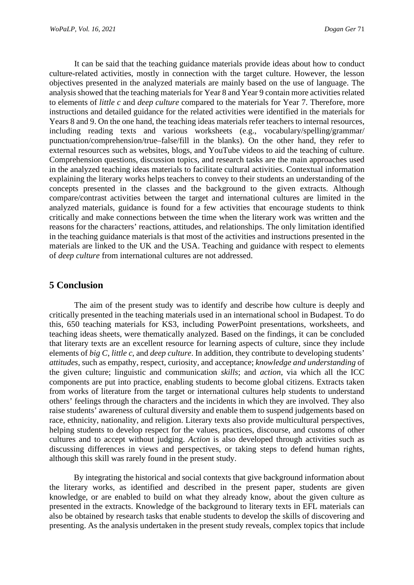It can be said that the teaching guidance materials provide ideas about how to conduct culture-related activities, mostly in connection with the target culture. However, the lesson objectives presented in the analyzed materials are mainly based on the use of language. The analysis showed that the teaching materials for Year 8 and Year 9 contain more activities related to elements of *little c* and *deep culture* compared to the materials for Year 7. Therefore, more instructions and detailed guidance for the related activities were identified in the materials for Years 8 and 9. On the one hand, the teaching ideas materials refer teachers to internal resources, including reading texts and various worksheets (e.g., vocabulary/spelling/grammar/ punctuation/comprehension/true–false/fill in the blanks). On the other hand, they refer to external resources such as websites, blogs, and YouTube videos to aid the teaching of culture. Comprehension questions, discussion topics, and research tasks are the main approaches used in the analyzed teaching ideas materials to facilitate cultural activities. Contextual information explaining the literary works helps teachers to convey to their students an understanding of the concepts presented in the classes and the background to the given extracts. Although compare/contrast activities between the target and international cultures are limited in the analyzed materials, guidance is found for a few activities that encourage students to think critically and make connections between the time when the literary work was written and the reasons for the characters' reactions, attitudes, and relationships. The only limitation identified in the teaching guidance materials is that most of the activities and instructions presented in the materials are linked to the UK and the USA. Teaching and guidance with respect to elements of *deep culture* from international cultures are not addressed.

## **5 Conclusion**

The aim of the present study was to identify and describe how culture is deeply and critically presented in the teaching materials used in an international school in Budapest. To do this, 650 teaching materials for KS3, including PowerPoint presentations, worksheets, and teaching ideas sheets, were thematically analyzed. Based on the findings, it can be concluded that literary texts are an excellent resource for learning aspects of culture, since they include elements of *big C*, *little c*, and *deep culture*. In addition, they contribute to developing students' *attitudes*, such as empathy, respect, curiosity, and acceptance; *knowledge and understanding* of the given culture; linguistic and communication *skills*; and *action*, via which all the ICC components are put into practice, enabling students to become global citizens. Extracts taken from works of literature from the target or international cultures help students to understand others' feelings through the characters and the incidents in which they are involved. They also raise students' awareness of cultural diversity and enable them to suspend judgements based on race, ethnicity, nationality, and religion. Literary texts also provide multicultural perspectives, helping students to develop respect for the values, practices, discourse, and customs of other cultures and to accept without judging. *Action* is also developed through activities such as discussing differences in views and perspectives, or taking steps to defend human rights, although this skill was rarely found in the present study.

By integrating the historical and social contexts that give background information about the literary works, as identified and described in the present paper, students are given knowledge, or are enabled to build on what they already know, about the given culture as presented in the extracts. Knowledge of the background to literary texts in EFL materials can also be obtained by research tasks that enable students to develop the skills of discovering and presenting. As the analysis undertaken in the present study reveals, complex topics that include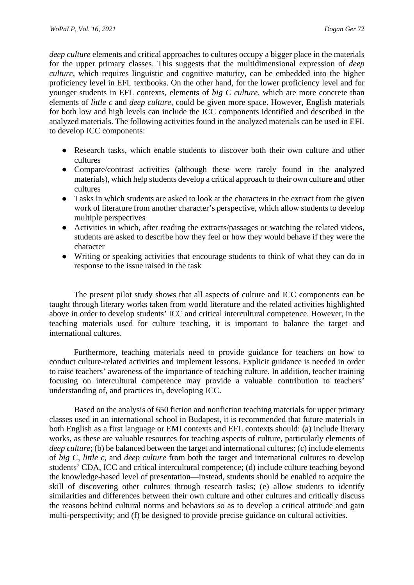*deep culture* elements and critical approaches to cultures occupy a bigger place in the materials for the upper primary classes. This suggests that the multidimensional expression of *deep culture*, which requires linguistic and cognitive maturity, can be embedded into the higher proficiency level in EFL textbooks. On the other hand, for the lower proficiency level and for younger students in EFL contexts, elements of *big C culture*, which are more concrete than elements of *little c* and *deep culture*, could be given more space. However, English materials for both low and high levels can include the ICC components identified and described in the analyzed materials. The following activities found in the analyzed materials can be used in EFL to develop ICC components:

- Research tasks, which enable students to discover both their own culture and other cultures
- Compare/contrast activities (although these were rarely found in the analyzed materials), which help students develop a critical approach to their own culture and other cultures
- Tasks in which students are asked to look at the characters in the extract from the given work of literature from another character's perspective, which allow students to develop multiple perspectives
- Activities in which, after reading the extracts/passages or watching the related videos, students are asked to describe how they feel or how they would behave if they were the character
- Writing or speaking activities that encourage students to think of what they can do in response to the issue raised in the task

The present pilot study shows that all aspects of culture and ICC components can be taught through literary works taken from world literature and the related activities highlighted above in order to develop students' ICC and critical intercultural competence. However, in the teaching materials used for culture teaching, it is important to balance the target and international cultures.

Furthermore, teaching materials need to provide guidance for teachers on how to conduct culture-related activities and implement lessons. Explicit guidance is needed in order to raise teachers' awareness of the importance of teaching culture. In addition, teacher training focusing on intercultural competence may provide a valuable contribution to teachers' understanding of, and practices in, developing ICC.

Based on the analysis of 650 fiction and nonfiction teaching materials for upper primary classes used in an international school in Budapest, it is recommended that future materials in both English as a first language or EMI contexts and EFL contexts should: (a) include literary works, as these are valuable resources for teaching aspects of culture, particularly elements of *deep culture*; (b) be balanced between the target and international cultures; (c) include elements of *big C, little c*, and *deep culture* from both the target and international cultures to develop students' CDA, ICC and critical intercultural competence; (d) include culture teaching beyond the knowledge-based level of presentation—instead, students should be enabled to acquire the skill of discovering other cultures through research tasks; (e) allow students to identify similarities and differences between their own culture and other cultures and critically discuss the reasons behind cultural norms and behaviors so as to develop a critical attitude and gain multi-perspectivity; and (f) be designed to provide precise guidance on cultural activities.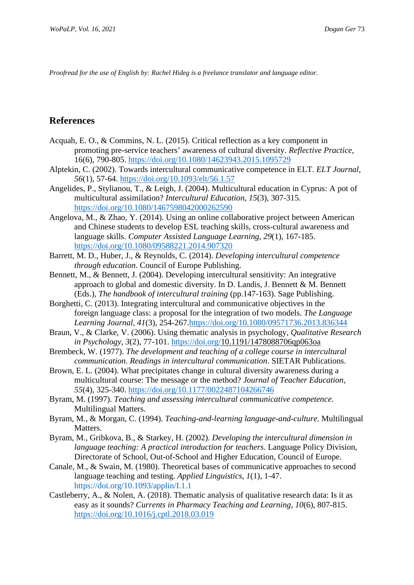*Proofread for the use of English by: Rachel Hideg is a freelance translator and language editor.* 

# **References**

- Acquah, E. O., & Commins, N. L. (2015). Critical reflection as a key component in promoting pre-service teachers' awareness of cultural diversity. *Reflective Practice*, 16(6), 790-805.<https://doi.org/10.1080/14623943.2015.1095729>
- Alptekin, C. (2002). Towards intercultural communicative competence in ELT. *ELT Journal*, *56*(1), 57-64.<https://doi.org/10.1093/elt/56.1.57>
- Angelides, P., Stylianou, T., & Leigh, J. (2004). Multicultural education in Cyprus: A pot of multicultural assimilation? *Intercultural Education*, *15*(3), 307-315. <https://doi.org/10.1080/1467598042000262590>
- Angelova, M., & Zhao, Y. (2014). Using an online collaborative project between American and Chinese students to develop ESL teaching skills, cross-cultural awareness and language skills. *Computer Assisted Language Learning*, *29*(1), 167-185. <https://doi.org/10.1080/09588221.2014.907320>
- Barrett, M. D., Huber, J., & Reynolds, C. (2014). *Developing intercultural competence through education*. Council of Europe Publishing.
- Bennett, M., & Bennett, J. (2004). Developing intercultural sensitivity: An integrative approach to global and domestic diversity. In D. Landis, J. Bennett & M. Bennett (Eds.), *The handbook of intercultural training* (pp.147-163). Sage Publishing.
- Borghetti, C. (2013). Integrating intercultural and communicative objectives in the foreign language class: a proposal for the integration of two models. *The Language Learning Journal, 41*(3), 254-267[.https://doi.org/10.1080/09571736.2013.836344](https://doi.org/10.1080/09571736.2013.836344)
- Braun, V., & Clarke, V. (2006). Using thematic analysis in psychology, *Qualitative Research in Psychology*, *3*(2), 77-101.<https://doi.org/>[10.1191/1478088706qp063oa](https://doi.org/10.1191/1478088706qp063oa)
- Brembeck, W. (1977). *The development and teaching of a college course in intercultural communication. Readings in intercultural communication*. SIETAR Publications.
- Brown, E. L. (2004). What precipitates change in cultural diversity awareness during a multicultural course: The message or the method? *Journal of Teacher Education*, *55*(4), 325-340.<https://doi.org/10.1177/0022487104266746>
- Byram, M. (1997). *Teaching and assessing intercultural communicative competence*. Multilingual Matters.
- Byram, M., & Morgan, C. (1994). *Teaching-and-learning language-and-culture*. Multilingual Matters.
- Byram, M., Gribkova, B., & Starkey, H. (2002). *Developing the intercultural dimension in language teaching: A practical introduction for teachers*. Language Policy Division, Directorate of School, Out-of-School and Higher Education, Council of Europe.
- Canale, M., & Swain, M. (1980). Theoretical bases of communicative approaches to second language teaching and testing. *Applied Linguistics*, *1*(1), 1-47. https://doi.org/10.1093/applin/I.1.1
- Castleberry, A., & Nolen, A. (2018). Thematic analysis of qualitative research data: Is it as easy as it sounds? *Currents in Pharmacy Teaching and Learning, 10*(6), 807-815. <https://doi.org/10.1016/j.cptl.2018.03.019>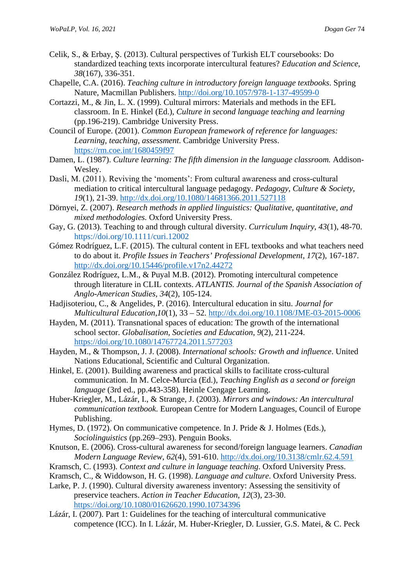- Celik, S., & Erbay, Ş. (2013). Cultural perspectives of Turkish ELT coursebooks: Do standardized teaching texts incorporate intercultural features? *Education and Science, 38*(167), 336-351.
- Chapelle, C.A. (2016). *Teaching culture in introductory foreign language textbooks*. Spring Nature, Macmillan Publishers.<http://doi.org/10.1057/978-1-137-49599-0>
- Cortazzi, M., & Jin, L. X. (1999). Cultural mirrors: Materials and methods in the EFL classroom. In E. Hinkel (Ed.), *Culture in second language teaching and learning*  (pp.196-219). Cambridge University Press.
- Council of Europe. (2001). *Common European framework of reference for languages: Learning, teaching, assessment*. Cambridge University Press. <https://rm.coe.int/1680459f97>
- Damen, L. (1987). *Culture learning: The fifth dimension in the language classroom.* Addison-Wesley.
- Dasli, M. (2011). Reviving the 'moments': From cultural awareness and cross-cultural mediation to critical intercultural language pedagogy. *Pedagogy, Culture & Society*, *19*(1), 21-39.<http://dx.doi.org/10.1080/14681366.2011.527118>
- Dörnyei, Z. (2007). *Research methods in applied linguistics: Qualitative, quantitative, and mixed methodologies.* Oxford University Press.
- Gay, G. (2013). Teaching to and through cultural diversity. *Curriculum Inquiry*, *43*(1), 48-70. https://doi.org/10.1111/curi.12002
- Gómez Rodríguez, L.F. (2015). The cultural content in EFL textbooks and what teachers need to do about it. *Profile Issues in Teachers' Professional Development, 17*(2), 167-187. <http://dx.doi.org/10.15446/profile.v17n2.44272>
- González Rodríguez, L.M., & Puyal M.B. (2012). Promoting intercultural competence through literature in CLIL contexts. *ATLANTIS. Journal of the Spanish Association of Anglo-American Studies, 34*(2), 105-124.
- Hadjisoteriou, C., & Angelides, P. (2016). Intercultural education in situ. *Journal for Multicultural Education*,*10*(1), 33 – 52.<http://dx.doi.org/10.1108/JME-03-2015-0006>
- Hayden, M. (2011). Transnational spaces of education: The growth of the international school sector. *Globalisation, Societies and Education*, *9*(2), 211-224. <https://doi.org/10.1080/14767724.2011.577203>
- Hayden, M., & Thompson, J. J. (2008). *International schools: Growth and influence*. United Nations Educational, Scientific and Cultural Organization.
- Hinkel, E. (2001). Building awareness and practical skills to facilitate cross-cultural communication. In M. Celce-Murcia (Ed.), *Teaching English as a second or foreign language* (3rd ed., pp.443-358). Heinle Cengage Learning.
- Huber-Kriegler, M., Lázár, I., & Strange, J. (2003). *Mirrors and windows: An intercultural communication textbook*. European Centre for Modern Languages, Council of Europe Publishing.
- Hymes, D. (1972). On communicative competence. In J. Pride & J. Holmes (Eds.), *Sociolinguistics* (pp.269–293). Penguin Books.
- Knutson, E. (2006). Cross-cultural awareness for second/foreign language learners. *Canadian Modern Language Review*, *62*(4), 591-610.<http://dx.doi.org/10.3138/cmlr.62.4.591>
- Kramsch, C. (1993). *Context and culture in language teaching*. Oxford University Press.
- Kramsch, C., & Widdowson, H. G. (1998). *Language and culture*. Oxford University Press.
- Larke, P. J. (1990). Cultural diversity awareness inventory: Assessing the sensitivity of preservice teachers. *Action in Teacher Education*, *12*(3), 23-30. <https://doi.org/10.1080/01626620.1990.10734396>
- Lázár, I. (2007). Part 1: Guidelines for the teaching of intercultural communicative competence (ICC). In I. Lázár, M. Huber-Kriegler, D. Lussier, G.S. Matei, & C. Peck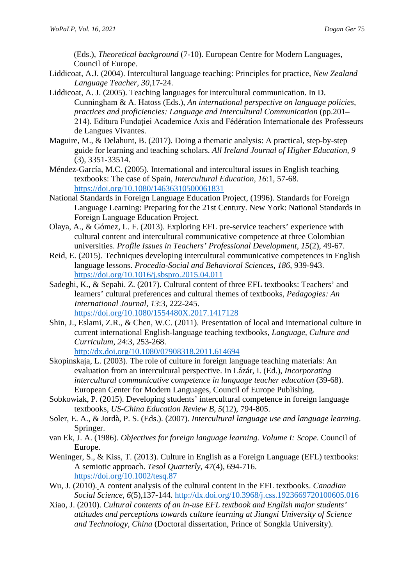(Eds.), *Theoretical background* (7-10). European Centre for Modern Languages, Council of Europe.

- Liddicoat, A.J. (2004). Intercultural language teaching: Principles for practice, *New Zealand Language Teacher, 30*,17-24.
- Liddicoat, A. J. (2005). Teaching languages for intercultural communication. In D. Cunningham & A. Hatoss (Eds.), *An international perspective on language policies, practices and proficiencies: Language and Intercultural Communication* (pp.201– 214). Editura Fundaţiei Academice Axis and Fédération Internationale des Professeurs de Langues Vivantes.
- Maguire, M., & Delahunt, B. (2017). Doing a thematic analysis: A practical, step-by-step guide for learning and teaching scholars. *All Ireland Journal of Higher Education, 9*  (3), 3351-33514.
- Méndez-García, M.C. (2005). International and intercultural issues in English teaching textbooks: The case of Spain, *Intercultural Education, 16*:1, 57-68. <https://doi.org/10.1080/14636310500061831>
- National Standards in Foreign Language Education Project, (1996). Standards for Foreign Language Learning: Preparing for the 21st Century. New York: National Standards in Foreign Language Education Project.
- Olaya, A., & Gómez, L. F. (2013). Exploring EFL pre-service teachers' experience with cultural content and intercultural communicative competence at three Colombian universities. *Profile Issues in Teachers' Professional Development*, *15*(2), 49-67.
- Reid, E. (2015). Techniques developing intercultural communicative competences in English language lessons. *Procedia-Social and Behavioral Sciences*, *186*, 939-943. <https://doi.org/10.1016/j.sbspro.2015.04.011>
- Sadeghi, K., & Sepahi. Z. (2017). Cultural content of three EFL textbooks: Teachers' and learners' cultural preferences and cultural themes of textbooks, *Pedagogies: An International Journal*, *13*:3, 222-245. <https://doi.org/10.1080/1554480X.2017.1417128>
- Shin, J., Eslami, Z.R., & Chen, W.C. (2011). Presentation of local and international culture in current international English-language teaching textbooks, *Language, Culture and Curriculum, 24*:3, 253-268.

<http://dx.doi.org/10.1080/07908318.2011.614694>

- Skopinskaja, L. (2003). The role of culture in foreign language teaching materials: An evaluation from an intercultural perspective. In Lázár, I. (Ed.), *Incorporating intercultural communicative competence in language teacher education* (39-68). European Center for Modern Languages, Council of Europe Publishing.
- Sobkowiak, P. (2015). Developing students' intercultural competence in foreign language textbooks, *US-China Education Review B*, *5*(12), 794-805.
- Soler, E. A., & Jordà, P. S. (Eds.). (2007). *Intercultural language use and language learning*. Springer.
- van Ek, J. A. (1986). *Objectives for foreign language learning. Volume I: Scope*. Council of Europe.
- Weninger, S., & Kiss, T. (2013). Culture in English as a Foreign Language (EFL) textbooks: A semiotic approach. *Tesol Quarterly, 47*(4), 694-716. <https://doi.org/10.1002/tesq.87>
- Wu, J. (2010). A content analysis of the cultural content in the EFL textbooks. *Canadian Social Science*, *6*(5),137-144.<http://dx.doi.org/10.3968/j.css.1923669720100605.016>
- Xiao, J. (2010). *Cultural contents of an in-use EFL textbook and English major students' attitudes and perceptions towards culture learning at Jiangxi University of Science and Technology, China* (Doctoral dissertation, Prince of Songkla University).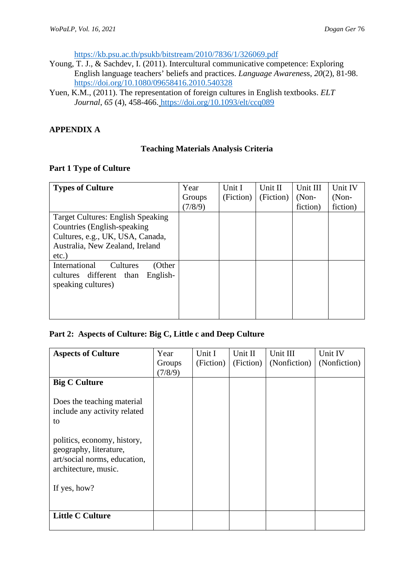<https://kb.psu.ac.th/psukb/bitstream/2010/7836/1/326069.pdf>

- Young, T. J., & Sachdev, I. (2011). Intercultural communicative competence: Exploring English language teachers' beliefs and practices. *Language Awarenes*s, *20*(2), 81-98. <https://doi.org/10.1080/09658416.2010.540328>
- Yuen, K.M., (2011). The representation of foreign cultures in English textbooks. *ELT Journal*, *65* (4), 458-466. <https://doi.org/10.1093/elt/ccq089>

# **APPENDIX A**

## **Teaching Materials Analysis Criteria**

## **Part 1 Type of Culture**

| <b>Types of Culture</b>                | Year    | Unit I    | Unit II   | Unit III | Unit IV  |
|----------------------------------------|---------|-----------|-----------|----------|----------|
|                                        | Groups  | (Fiction) | (Fiction) | $(Non-$  | $(Non-$  |
|                                        | (7/8/9) |           |           | fiction) | fiction) |
| Target Cultures: English Speaking      |         |           |           |          |          |
| Countries (English-speaking)           |         |           |           |          |          |
| Cultures, e.g., UK, USA, Canada,       |         |           |           |          |          |
| Australia, New Zealand, Ireland        |         |           |           |          |          |
| $etc.$ )                               |         |           |           |          |          |
| International<br>Cultures<br>(Other    |         |           |           |          |          |
| English-<br>different than<br>cultures |         |           |           |          |          |
| speaking cultures)                     |         |           |           |          |          |
|                                        |         |           |           |          |          |
|                                        |         |           |           |          |          |
|                                        |         |           |           |          |          |

## **Part 2: Aspects of Culture: Big C, Little c and Deep Culture**

| <b>Aspects of Culture</b>                                                                                     | Year<br>Groups<br>(7/8/9) | Unit I<br>(Fiction) | Unit II<br>(Fiction) | Unit III<br>(Nonfiction) | Unit IV<br>(Nonfiction) |
|---------------------------------------------------------------------------------------------------------------|---------------------------|---------------------|----------------------|--------------------------|-------------------------|
| <b>Big C Culture</b>                                                                                          |                           |                     |                      |                          |                         |
| Does the teaching material<br>include any activity related<br>to                                              |                           |                     |                      |                          |                         |
| politics, economy, history,<br>geography, literature,<br>art/social norms, education,<br>architecture, music. |                           |                     |                      |                          |                         |
| If yes, how?                                                                                                  |                           |                     |                      |                          |                         |
|                                                                                                               |                           |                     |                      |                          |                         |
| <b>Little C Culture</b>                                                                                       |                           |                     |                      |                          |                         |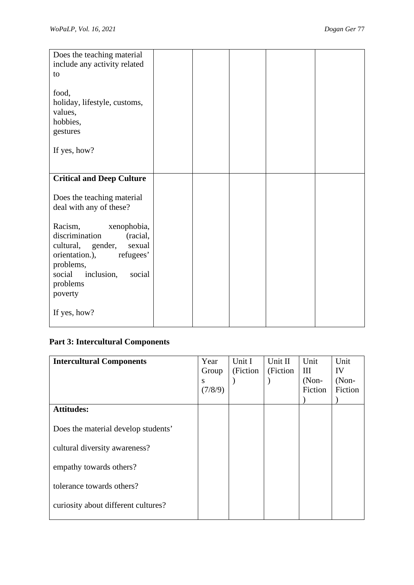| Does the teaching material<br>include any activity related<br>to                                                                                                                         |  |  |  |
|------------------------------------------------------------------------------------------------------------------------------------------------------------------------------------------|--|--|--|
| food,<br>holiday, lifestyle, customs,<br>values,<br>hobbies,<br>gestures                                                                                                                 |  |  |  |
| If yes, how?                                                                                                                                                                             |  |  |  |
| <b>Critical and Deep Culture</b>                                                                                                                                                         |  |  |  |
| Does the teaching material<br>deal with any of these?                                                                                                                                    |  |  |  |
| Racism,<br>xenophobia,<br>discrimination<br>(racial,<br>cultural, gender,<br>sexual<br>orientation.),<br>refugees'<br>problems,<br>social<br>inclusion,<br>social<br>problems<br>poverty |  |  |  |
| If yes, how?                                                                                                                                                                             |  |  |  |

# **Part 3: Intercultural Components**

| <b>Intercultural Components</b>     | Year    | Unit I    | Unit II  | Unit    | Unit    |
|-------------------------------------|---------|-----------|----------|---------|---------|
|                                     | Group   | (Fiction) | (Fiction | III     | IV      |
|                                     | S       |           |          | $(Non-$ | $(Non-$ |
|                                     | (7/8/9) |           |          | Fiction | Fiction |
|                                     |         |           |          |         |         |
| <b>Attitudes:</b>                   |         |           |          |         |         |
| Does the material develop students' |         |           |          |         |         |
| cultural diversity awareness?       |         |           |          |         |         |
| empathy towards others?             |         |           |          |         |         |
| tolerance towards others?           |         |           |          |         |         |
| curiosity about different cultures? |         |           |          |         |         |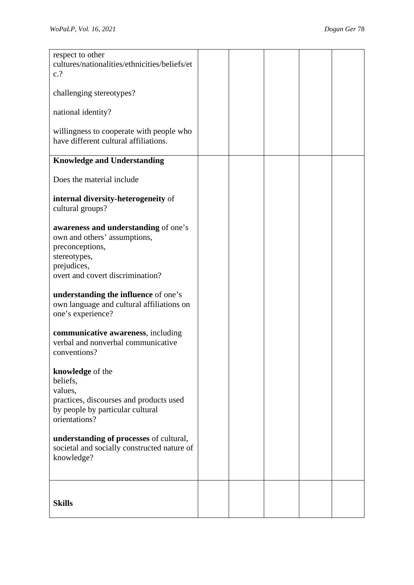| respect to other<br>cultures/nationalities/ethnicities/beliefs/et<br>c.?<br>challenging stereotypes?<br>national identity?<br>willingness to cooperate with people who<br>have different cultural affiliations. |  |  |  |
|-----------------------------------------------------------------------------------------------------------------------------------------------------------------------------------------------------------------|--|--|--|
| <b>Knowledge and Understanding</b>                                                                                                                                                                              |  |  |  |
| Does the material include                                                                                                                                                                                       |  |  |  |
| internal diversity-heterogeneity of<br>cultural groups?                                                                                                                                                         |  |  |  |
| awareness and understanding of one's<br>own and others' assumptions,<br>preconceptions,<br>stereotypes,<br>prejudices,<br>overt and covert discrimination?                                                      |  |  |  |
| understanding the influence of one's<br>own language and cultural affiliations on<br>one's experience?                                                                                                          |  |  |  |
| communicative awareness, including<br>verbal and nonverbal communicative<br>conventions?                                                                                                                        |  |  |  |
| knowledge of the<br>beliefs,<br>values,<br>practices, discourses and products used<br>by people by particular cultural<br>orientations?<br>understanding of processes of cultural,                              |  |  |  |
| societal and socially constructed nature of<br>knowledge?                                                                                                                                                       |  |  |  |
| <b>Skills</b>                                                                                                                                                                                                   |  |  |  |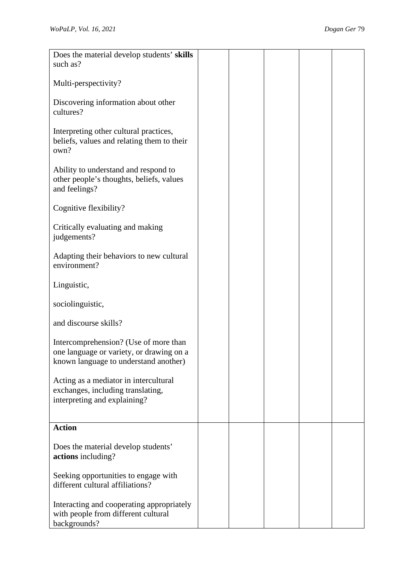| Does the material develop students' skills<br>such as?                                                                     |  |  |  |
|----------------------------------------------------------------------------------------------------------------------------|--|--|--|
| Multi-perspectivity?                                                                                                       |  |  |  |
| Discovering information about other<br>cultures?                                                                           |  |  |  |
| Interpreting other cultural practices,<br>beliefs, values and relating them to their<br>own?                               |  |  |  |
| Ability to understand and respond to<br>other people's thoughts, beliefs, values<br>and feelings?                          |  |  |  |
| Cognitive flexibility?                                                                                                     |  |  |  |
| Critically evaluating and making<br>judgements?                                                                            |  |  |  |
| Adapting their behaviors to new cultural<br>environment?                                                                   |  |  |  |
| Linguistic,                                                                                                                |  |  |  |
| sociolinguistic,                                                                                                           |  |  |  |
| and discourse skills?                                                                                                      |  |  |  |
| Intercomprehension? (Use of more than<br>one language or variety, or drawing on a<br>known language to understand another) |  |  |  |
| Acting as a mediator in intercultural<br>exchanges, including translating,<br>interpreting and explaining?                 |  |  |  |
| <b>Action</b>                                                                                                              |  |  |  |
| Does the material develop students'<br>actions including?                                                                  |  |  |  |
| Seeking opportunities to engage with<br>different cultural affiliations?                                                   |  |  |  |
| Interacting and cooperating appropriately<br>with people from different cultural<br>backgrounds?                           |  |  |  |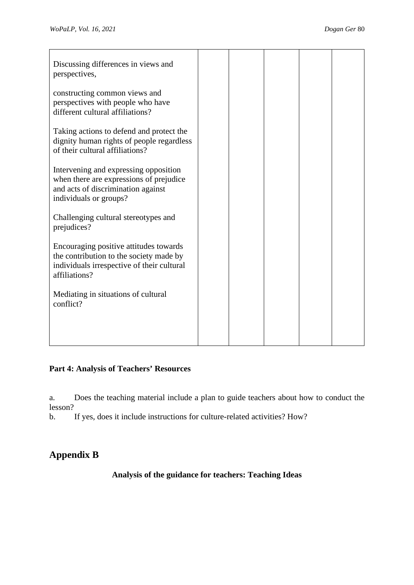| Discussing differences in views and<br>perspectives,                                                                                             |  |  |  |
|--------------------------------------------------------------------------------------------------------------------------------------------------|--|--|--|
| constructing common views and<br>perspectives with people who have<br>different cultural affiliations?                                           |  |  |  |
| Taking actions to defend and protect the<br>dignity human rights of people regardless<br>of their cultural affiliations?                         |  |  |  |
| Intervening and expressing opposition<br>when there are expressions of prejudice<br>and acts of discrimination against<br>individuals or groups? |  |  |  |
| Challenging cultural stereotypes and<br>prejudices?                                                                                              |  |  |  |
| Encouraging positive attitudes towards<br>the contribution to the society made by<br>individuals irrespective of their cultural<br>affiliations? |  |  |  |
| Mediating in situations of cultural<br>conflict?                                                                                                 |  |  |  |
|                                                                                                                                                  |  |  |  |

# **Part 4: Analysis of Teachers' Resources**

a. Does the teaching material include a plan to guide teachers about how to conduct the lesson?

b. If yes, does it include instructions for culture-related activities? How?

# **Appendix B**

**Analysis of the guidance for teachers: Teaching Ideas**